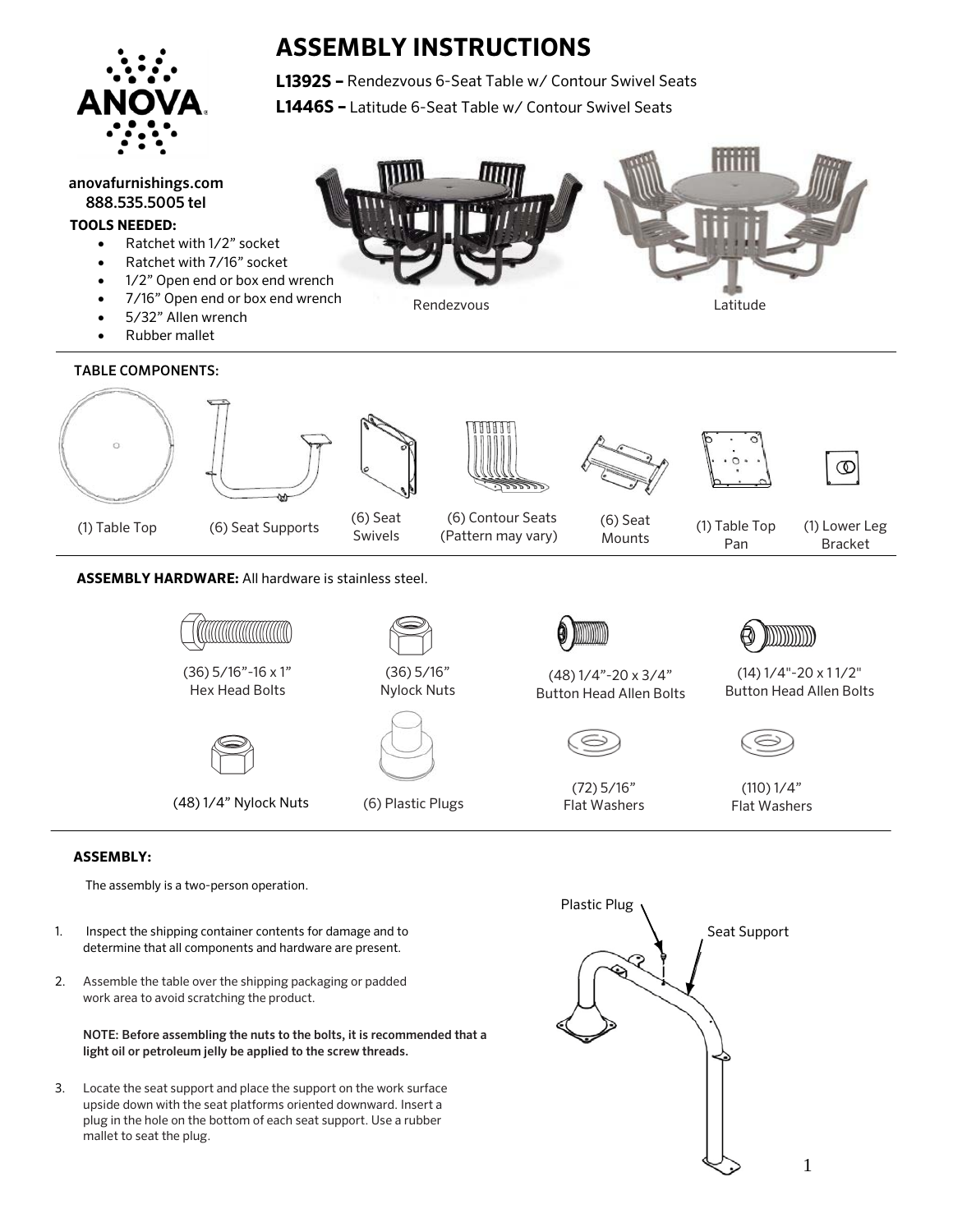

# **ASSEMBLY INSTRUCTIONS**

**L1392S –** Rendezvous 6-Seat Table w/ Contour Swivel Seats **L1446S –** Latitude 6-Seat Table w/ Contour Swivel Seats



#### **TOOLS NEEDED:**

- Ratchet with 1/2" socket
- Ratchet with 7/16" socket
- 1/2" Open end or box end wrench
- 7/16" Open end or box end wrench
- 5/32" Allen wrench
- Rubber mallet

### TABLE COMPONENTS:







(1) Table Top (6) Seat Supports (6) Contour Seats (6) Seat Swivels

(Pattern may vary)









(6) Seat Mounts

(1) Table Top Pan

(1) Lower Leg Bracket

### **ASSEMBLY HARDWARE:** All hardware is stainless steel.

| Ш<br>TITTITTITTI<br>l<br>l |
|----------------------------|
|----------------------------|

(36) 5/16"-16 x 1" Hex Head Bolts





(36) 5/16" Nylock Nuts

(48) 1/4" Nylock Nuts





Rendezvous **Latitude** 

(48) 1/4"-20 x 3/4" Button Head Allen Bolts



(72) 5/16"



(14) 1/4"-20 x 1 1/2" Button Head Allen Bolts



(110) 1/4" Flat Washers

## **ASSEMBLY:**

The assembly is a two-person operation.

- 1. Inspect the shipping container contents for damage and to determine that all components and hardware are present.
- 2. Assemble the table over the shipping packaging or padded work area to avoid scratching the product.

NOTE: Before assembling the nuts to the bolts, it is recommended that a light oil or petroleum jelly be applied to the screw threads.

3. Locate the seat support and place the support on the work surface upside down with the seat platforms oriented downward. Insert a plug in the hole on the bottom of each seat support. Use a rubber mallet to seat the plug.

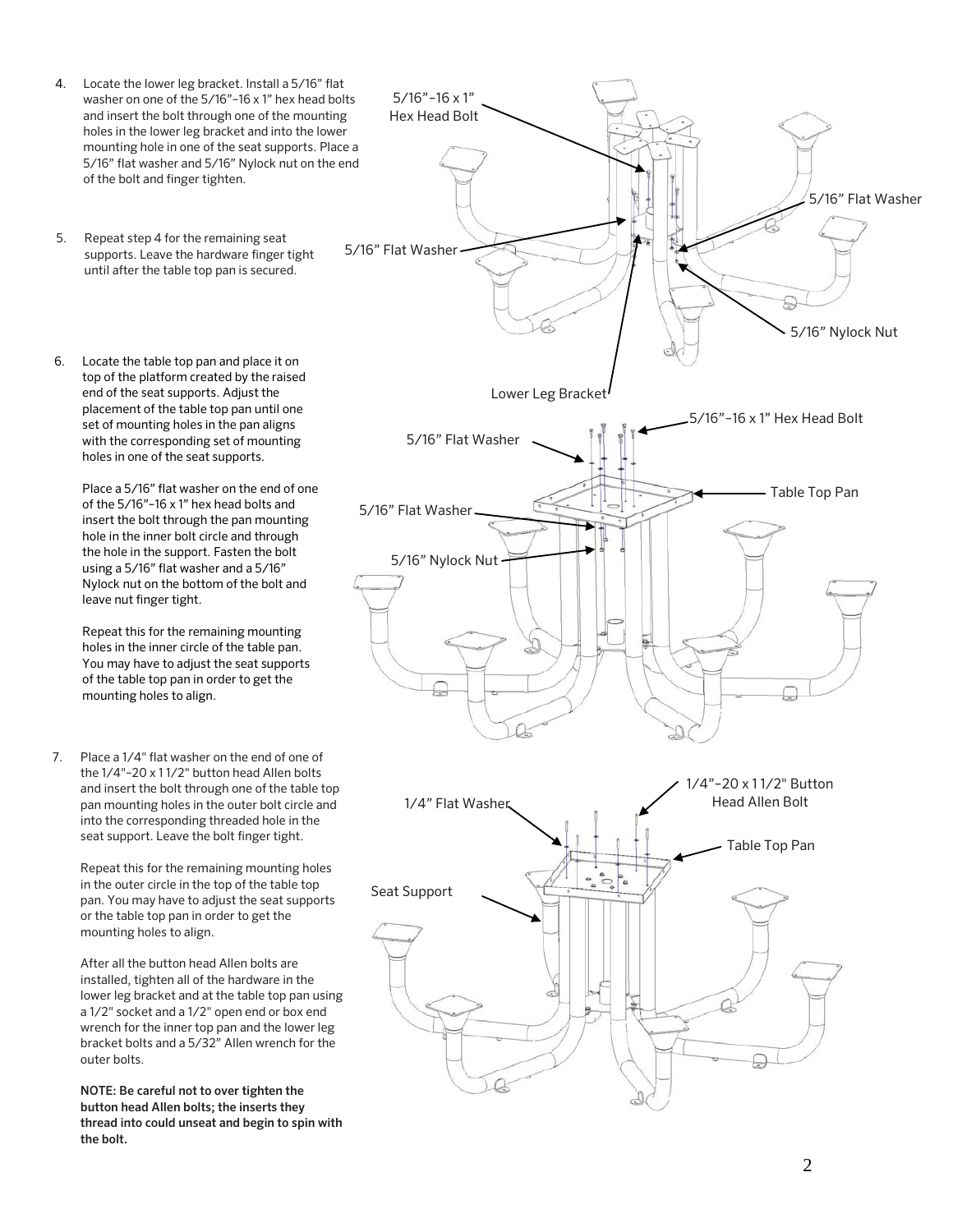- 4. Locate the lower leg bracket. Install a 5/16" flat washer on one of the 5/16"–16 x 1" hex head bolts and insert the bolt through one of the mounting holes in the lower leg bracket and into the lower mounting hole in one of the seat supports. Place a 5/16" flat washer and 5/16" Nylock nut on the end of the bolt and finger tighten.
- 5. Repeat step 4 for the remaining seat supports. Leave the hardware finger tight until after the table top pan is secured.
- 6. Locate the table top pan and place it on top of the platform created by the raised end of the seat supports. Adjust the placement of the table top pan until one set of mounting holes in the pan aligns with the corresponding set of mounting holes in one of the seat supports.

Place a 5/16" flat washer on the end of one of the 5/16"–16 x 1" hex head bolts and insert the bolt through the pan mounting hole in the inner bolt circle and through the hole in the support. Fasten the bolt using a 5/16" flat washer and a 5/16" Nylock nut on the bottom of the bolt and leave nut finger tight.

Repeat this for the remaining mounting holes in the inner circle of the table pan. You may have to adjust the seat supports of the table top pan in order to get the mounting holes to align.

7. Place a 1/4" flat washer on the end of one of the 1/4"–20 x 1 1/2" button head Allen bolts and insert the bolt through one of the table top pan mounting holes in the outer bolt circle and into the corresponding threaded hole in the seat support. Leave the bolt finger tight.

Repeat this for the remaining mounting holes in the outer circle in the top of the table top pan. You may have to adjust the seat supports or the table top pan in order to get the mounting holes to align.

After all the button head Allen bolts are installed, tighten all of the hardware in the lower leg bracket and at the table top pan using a 1/2" socket and a 1/2" open end or box end wrench for the inner top pan and the lower leg bracket bolts and a 5/32" Allen wrench for the outer bolts.

NOTE: Be careful not to over tighten the button head Allen bolts; the inserts they thread into could unseat and begin to spin with the bolt.

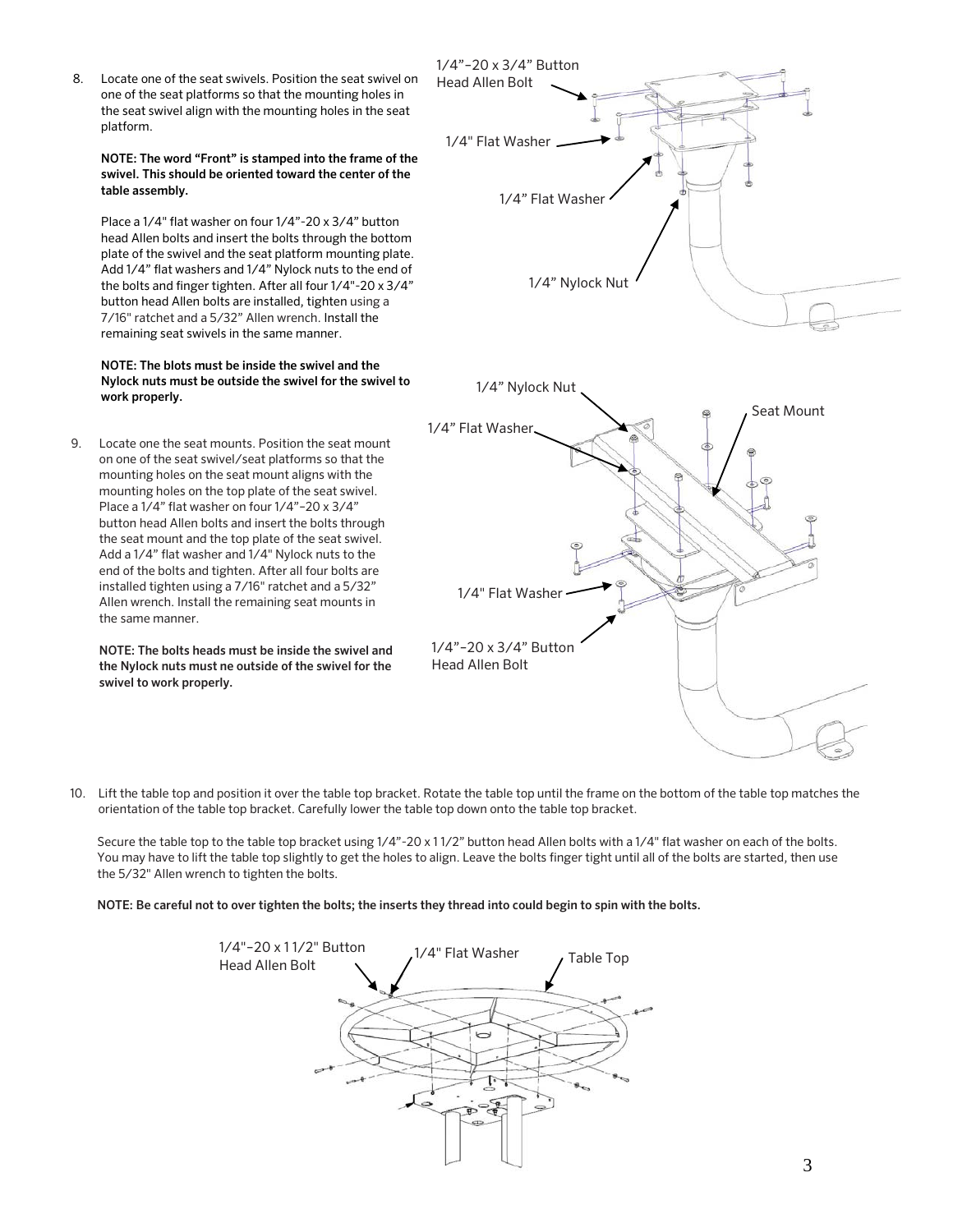8. Locate one of the seat swivels. Position the seat swivel on one of the seat platforms so that the mounting holes in the seat swivel align with the mounting holes in the seat platform.

NOTE: The word "Front" is stamped into the frame of the swivel. This should be oriented toward the center of the table assembly.

Place a 1/4" flat washer on four 1/4"-20 x 3/4" button head Allen bolts and insert the bolts through the bottom plate of the swivel and the seat platform mounting plate. Add 1/4" flat washers and 1/4" Nylock nuts to the end of the bolts and finger tighten. After all four 1/4"-20 x 3/4" button head Allen bolts are installed, tighten using a 7/16" ratchet and a 5/32" Allen wrench. Install the remaining seat swivels in the same manner.

#### NOTE: The blots must be inside the swivel and the Nylock nuts must be outside the swivel for the swivel to work properly.

9. Locate one the seat mounts. Position the seat mount on one of the seat swivel/seat platforms so that the mounting holes on the seat mount aligns with the mounting holes on the top plate of the seat swivel. Place a 1/4" flat washer on four 1/4"–20 x 3/4" button head Allen bolts and insert the bolts through the seat mount and the top plate of the seat swivel. Add a 1/4" flat washer and 1/4" Nylock nuts to the end of the bolts and tighten. After all four bolts are installed tighten using a 7/16" ratchet and a 5/32" Allen wrench. Install the remaining seat mounts in the same manner.

NOTE: The bolts heads must be inside the swivel and the Nylock nuts must ne outside of the swivel for the swivel to work properly.



10. Lift the table top and position it over the table top bracket. Rotate the table top until the frame on the bottom of the table top matches the orientation of the table top bracket. Carefully lower the table top down onto the table top bracket.

Secure the table top to the table top bracket using  $1/4"$ -20 x 11/2" button head Allen bolts with a 1/4" flat washer on each of the bolts. You may have to lift the table top slightly to get the holes to align. Leave the bolts finger tight until all of the bolts are started, then use the 5/32" Allen wrench to tighten the bolts.

NOTE: Be careful not to over tighten the bolts; the inserts they thread into could begin to spin with the bolts.

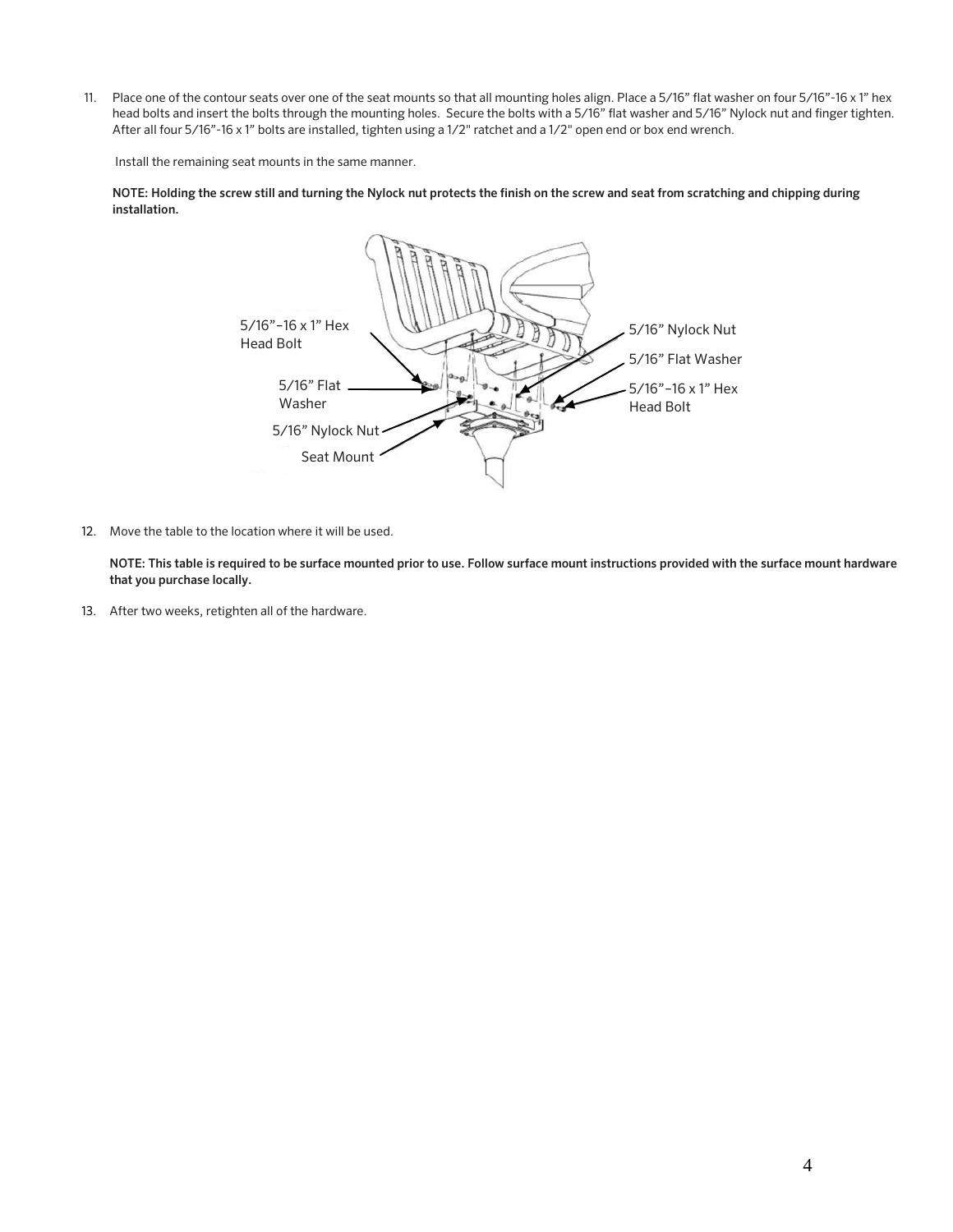11. Place one of the contour seats over one of the seat mounts so that all mounting holes align. Place a 5/16" flat washer on four 5/16"-16 x 1" hex head bolts and insert the bolts through the mounting holes. Secure the bolts with a 5/16" flat washer and 5/16" Nylock nut and finger tighten. After all four 5/16"-16 x 1" bolts are installed, tighten using a 1/2" ratchet and a 1/2" open end or box end wrench.

Install the remaining seat mounts in the same manner.

NOTE: Holding the screw still and turning the Nylock nut protects the finish on the screw and seat from scratching and chipping during installation.



12. Move the table to the location where it will be used.

NOTE: This table is required to be surface mounted prior to use. Follow surface mount instructions provided with the surface mount hardware that you purchase locally.

13. After two weeks, retighten all of the hardware.